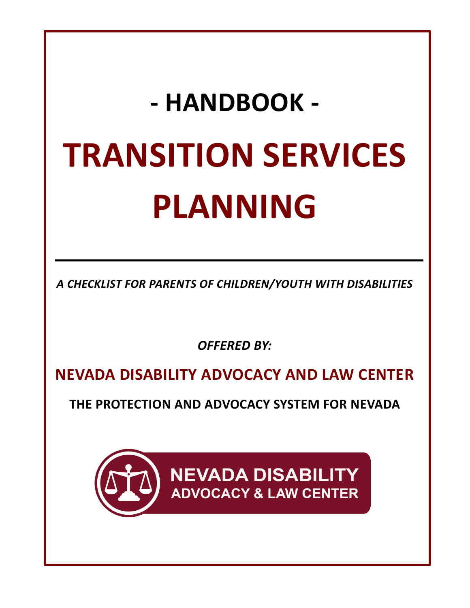# **- HANDBOOK - TRANSITION SERVICES PLANNING**

*A CHECKLIST FOR PARENTS OF CHILDREN/YOUTH WITH DISABILITIES*

*OFFERED BY:*

**NEVADA DISABILITY ADVOCACY AND LAW CENTER**

**THE PROTECTION AND ADVOCACY SYSTEM FOR NEVADA** 

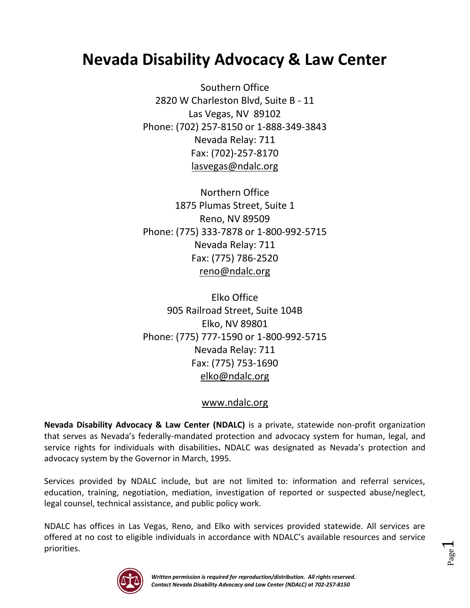# **Nevada Disability Advocacy & Law Center**

Southern Office 2820 W Charleston Blvd, Suite B - 11 Las Vegas, NV 89102 Phone: (702) 257-8150 or 1-888-349-3843 Nevada Relay: 711 Fax: (702)-257-8170 [lasvegas@ndalc.org](mailto:lasvegas@ndalc.org)

Northern Office 1875 Plumas Street, Suite 1 Reno, NV 89509 Phone: (775) 333-7878 or 1-800-992-5715 Nevada Relay: 711 Fax: (775) 786-2520 [reno@ndalc.org](mailto:reno@ndalc.org)

Elko Office 905 Railroad Street, Suite 104B Elko, NV 89801 Phone: (775) 777-1590 or 1-800-992-5715 Nevada Relay: 711 Fax: (775) 753-1690 [elko@ndalc.org](mailto:elko@ndalc.org)

## [www.ndalc.org](http://www.ndalc.org/)

**Nevada Disability Advocacy & Law Center (NDALC)** is a private, statewide non-profit organization that serves as Nevada's federally-mandated protection and advocacy system for human, legal, and service rights for individuals with disabilities**.** NDALC was designated as Nevada's protection and advocacy system by the Governor in March, 1995.

Services provided by NDALC include, but are not limited to: information and referral services, education, training, negotiation, mediation, investigation of reported or suspected abuse/neglect, legal counsel, technical assistance, and public policy work.

NDALC has offices in Las Vegas, Reno, and Elko with services provided statewide. All services are offered at no cost to eligible individuals in accordance with NDALC's available resources and service priorities.



Page  $\overline{\phantom{0}}$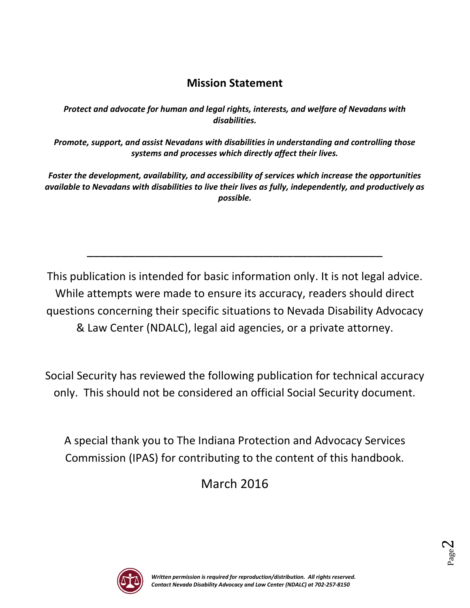# **Mission Statement**

*Protect and advocate for human and legal rights, interests, and welfare of Nevadans with disabilities.*

*Promote, support, and assist Nevadans with disabilities in understanding and controlling those systems and processes which directly affect their lives.*

*Foster the development, availability, and accessibility of services which increase the opportunities available to Nevadans with disabilities to live their lives as fully, independently, and productively as possible.*

This publication is intended for basic information only. It is not legal advice. While attempts were made to ensure its accuracy, readers should direct questions concerning their specific situations to Nevada Disability Advocacy & Law Center (NDALC), legal aid agencies, or a private attorney.

\_\_\_\_\_\_\_\_\_\_\_\_\_\_\_\_\_\_\_\_\_\_\_\_\_\_\_\_\_\_\_\_\_\_\_\_\_\_\_\_\_\_\_

Social Security has reviewed the following publication for technical accuracy only. This should not be considered an official Social Security document.

A special thank you to The Indiana Protection and Advocacy Services Commission (IPAS) for contributing to the content of this handbook.

March 2016



Page  $\boldsymbol{\sim}$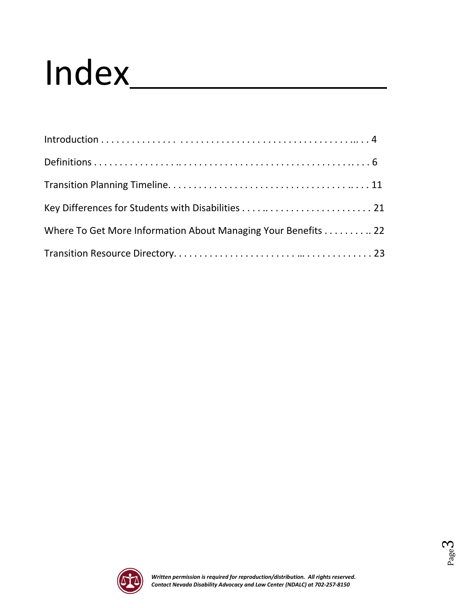# Index\_

| Where To Get More Information About Managing Your Benefits 22 |
|---------------------------------------------------------------|
|                                                               |



Page ო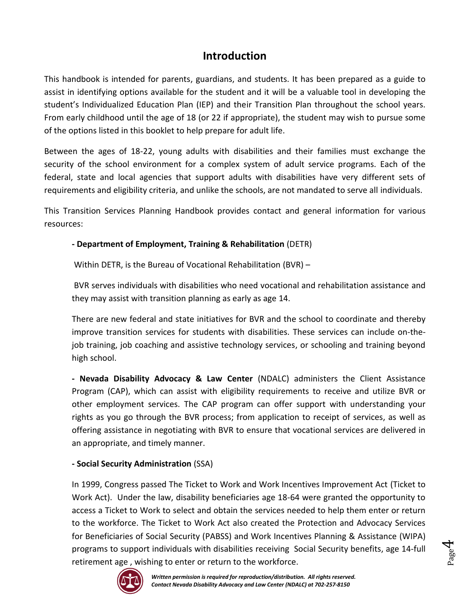# **Introduction**

This handbook is intended for parents, guardians, and students. It has been prepared as a guide to assist in identifying options available for the student and it will be a valuable tool in developing the student's Individualized Education Plan (IEP) and their Transition Plan throughout the school years. From early childhood until the age of 18 (or 22 if appropriate), the student may wish to pursue some of the options listed in this booklet to help prepare for adult life.

Between the ages of 18-22, young adults with disabilities and their families must exchange the security of the school environment for a complex system of adult service programs. Each of the federal, state and local agencies that support adults with disabilities have very different sets of requirements and eligibility criteria, and unlike the schools, are not mandated to serve all individuals.

This Transition Services Planning Handbook provides contact and general information for various resources:

## **- Department of Employment, Training & Rehabilitation** (DETR)

Within DETR, is the Bureau of Vocational Rehabilitation (BVR) –

BVR serves individuals with disabilities who need vocational and rehabilitation assistance and they may assist with transition planning as early as age 14.

There are new federal and state initiatives for BVR and the school to coordinate and thereby improve transition services for students with disabilities. These services can include on-thejob training, job coaching and assistive technology services, or schooling and training beyond high school.

**- Nevada Disability Advocacy & Law Center** (NDALC) administers the Client Assistance Program (CAP), which can assist with eligibility requirements to receive and utilize BVR or other employment services. The CAP program can offer support with understanding your rights as you go through the BVR process; from application to receipt of services, as well as offering assistance in negotiating with BVR to ensure that vocational services are delivered in an appropriate, and timely manner.

## **- Social Security Administration** (SSA)

In 1999, Congress passed The Ticket to Work and Work Incentives Improvement Act (Ticket to Work Act). Under the law, disability beneficiaries age 18-64 were granted the opportunity to access a Ticket to Work to select and obtain the services needed to help them enter or return to the workforce. The Ticket to Work Act also created the Protection and Advocacy Services for Beneficiaries of Social Security (PABSS) and Work Incentives Planning & Assistance (WIPA) programs to support individuals with disabilities receiving Social Security benefits, age 14-full retirement age , wishing to enter or return to the workforce.



Page 4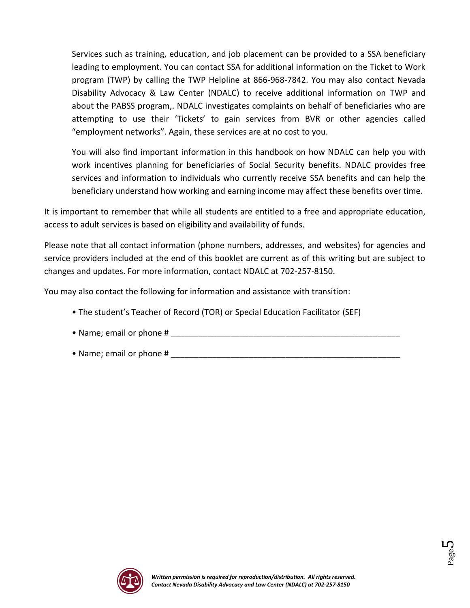Services such as training, education, and job placement can be provided to a SSA beneficiary leading to employment. You can contact SSA for additional information on the Ticket to Work program (TWP) by calling the TWP Helpline at 866-968-7842. You may also contact Nevada Disability Advocacy & Law Center (NDALC) to receive additional information on TWP and about the PABSS program,. NDALC investigates complaints on behalf of beneficiaries who are attempting to use their 'Tickets' to gain services from BVR or other agencies called "employment networks". Again, these services are at no cost to you.

You will also find important information in this handbook on how NDALC can help you with work incentives planning for beneficiaries of Social Security benefits. NDALC provides free services and information to individuals who currently receive SSA benefits and can help the beneficiary understand how working and earning income may affect these benefits over time.

It is important to remember that while all students are entitled to a free and appropriate education, access to adult services is based on eligibility and availability of funds.

Please note that all contact information (phone numbers, addresses, and websites) for agencies and service providers included at the end of this booklet are current as of this writing but are subject to changes and updates. For more information, contact NDALC at 702-257-8150.

You may also contact the following for information and assistance with transition:

- The student's Teacher of Record (TOR) or Special Education Facilitator (SEF)
- Name; email or phone #
- Name; email or phone #



Page L∩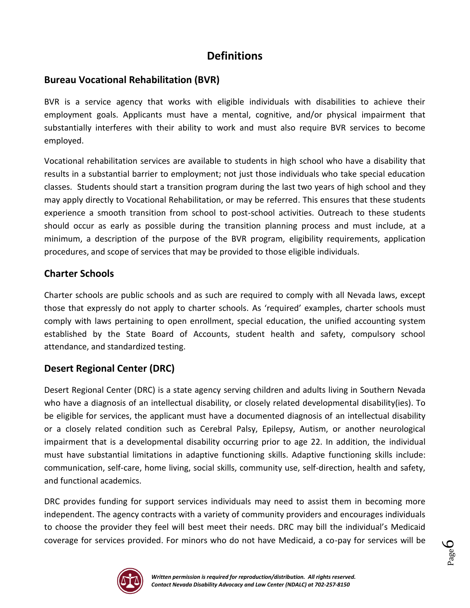# **Definitions**

## **Bureau Vocational Rehabilitation (BVR)**

BVR is a service agency that works with eligible individuals with disabilities to achieve their employment goals. Applicants must have a mental, cognitive, and/or physical impairment that substantially interferes with their ability to work and must also require BVR services to become employed.

Vocational rehabilitation services are available to students in high school who have a disability that results in a substantial barrier to employment; not just those individuals who take special education classes. Students should start a transition program during the last two years of high school and they may apply directly to Vocational Rehabilitation, or may be referred. This ensures that these students experience a smooth transition from school to post-school activities. Outreach to these students should occur as early as possible during the transition planning process and must include, at a minimum, a description of the purpose of the BVR program, eligibility requirements, application procedures, and scope of services that may be provided to those eligible individuals.

## **Charter Schools**

Charter schools are public schools and as such are required to comply with all Nevada laws, except those that expressly do not apply to charter schools. As 'required' examples, charter schools must comply with laws pertaining to open enrollment, special education, the unified accounting system established by the State Board of Accounts, student health and safety, compulsory school attendance, and standardized testing.

## **Desert Regional Center (DRC)**

Desert Regional Center (DRC) is a state agency serving children and adults living in Southern Nevada who have a diagnosis of an intellectual disability, or closely related developmental disability(ies). To be eligible for services, the applicant must have a documented diagnosis of an intellectual disability or a closely related condition such as Cerebral Palsy, Epilepsy, Autism, or another neurological impairment that is a developmental disability occurring prior to age 22. In addition, the individual must have substantial limitations in adaptive functioning skills. Adaptive functioning skills include: communication, self-care, home living, social skills, community use, self-direction, health and safety, and functional academics.

DRC provides funding for support services individuals may need to assist them in becoming more independent. The agency contracts with a variety of community providers and encourages individuals to choose the provider they feel will best meet their needs. DRC may bill the individual's Medicaid coverage for services provided. For minors who do not have Medicaid, a co-pay for services will be



Page 6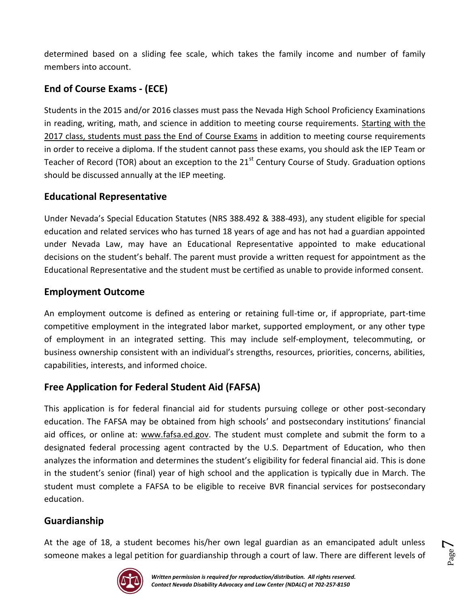determined based on a sliding fee scale, which takes the family income and number of family members into account.

## **End of Course Exams - (ECE)**

Students in the 2015 and/or 2016 classes must pass the Nevada High School Proficiency Examinations in reading, writing, math, and science in addition to meeting course requirements. Starting with the 2017 class, students must pass the End of Course Exams in addition to meeting course requirements in order to receive a diploma. If the student cannot pass these exams, you should ask the IEP Team or Teacher of Record (TOR) about an exception to the  $21<sup>st</sup>$  Century Course of Study. Graduation options should be discussed annually at the IEP meeting.

## **Educational Representative**

Under Nevada's Special Education Statutes (NRS 388.492 & 388-493), any student eligible for special education and related services who has turned 18 years of age and has not had a guardian appointed under Nevada Law, may have an Educational Representative appointed to make educational decisions on the student's behalf. The parent must provide a written request for appointment as the Educational Representative and the student must be certified as unable to provide informed consent.

## **Employment Outcome**

An employment outcome is defined as entering or retaining full-time or, if appropriate, part-time competitive employment in the integrated labor market, supported employment, or any other type of employment in an integrated setting. This may include self-employment, telecommuting, or business ownership consistent with an individual's strengths, resources, priorities, concerns, abilities, capabilities, interests, and informed choice.

## **Free Application for Federal Student Aid (FAFSA)**

This application is for federal financial aid for students pursuing college or other post-secondary education. The FAFSA may be obtained from high schools' and postsecondary institutions' financial aid offices, or online at: [www.fafsa.ed.gov.](http://www.fafsa.ed.gov/) The student must complete and submit the form to a designated federal processing agent contracted by the U.S. Department of Education, who then analyzes the information and determines the student's eligibility for federal financial aid. This is done in the student's senior (final) year of high school and the application is typically due in March. The student must complete a FAFSA to be eligible to receive BVR financial services for postsecondary education.

## **Guardianship**

At the age of 18, a student becomes his/her own legal guardian as an emancipated adult unless someone makes a legal petition for guardianship through a court of law. There are different levels of



Page  $\blacktriangleright$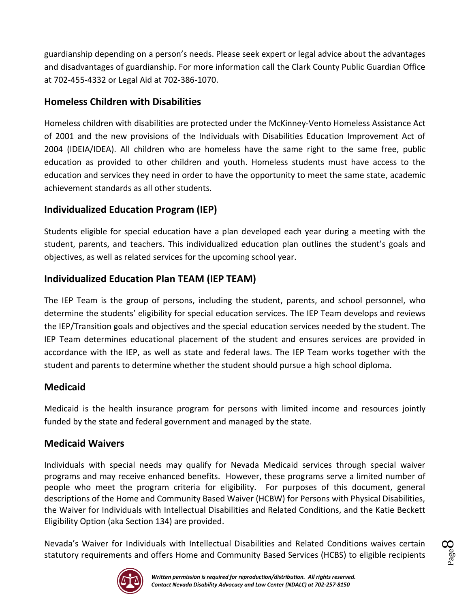guardianship depending on a person's needs. Please seek expert or legal advice about the advantages and disadvantages of guardianship. For more information call the Clark County Public Guardian Office at 702-455-4332 or Legal Aid at 702-386-1070.

## **Homeless Children with Disabilities**

Homeless children with disabilities are protected under the McKinney-Vento Homeless Assistance Act of 2001 and the new provisions of the Individuals with Disabilities Education Improvement Act of 2004 (IDEIA/IDEA). All children who are homeless have the same right to the same free, public education as provided to other children and youth. Homeless students must have access to the education and services they need in order to have the opportunity to meet the same state, academic achievement standards as all other students.

## **Individualized Education Program (IEP)**

Students eligible for special education have a plan developed each year during a meeting with the student, parents, and teachers. This individualized education plan outlines the student's goals and objectives, as well as related services for the upcoming school year.

## **Individualized Education Plan TEAM (IEP TEAM)**

The IEP Team is the group of persons, including the student, parents, and school personnel, who determine the students' eligibility for special education services. The IEP Team develops and reviews the IEP/Transition goals and objectives and the special education services needed by the student. The IEP Team determines educational placement of the student and ensures services are provided in accordance with the IEP, as well as state and federal laws. The IEP Team works together with the student and parents to determine whether the student should pursue a high school diploma.

## **Medicaid**

Medicaid is the health insurance program for persons with limited income and resources jointly funded by the state and federal government and managed by the state.

## **Medicaid Waivers**

Individuals with special needs may qualify for Nevada Medicaid services through special waiver programs and may receive enhanced benefits. However, these programs serve a limited number of people who meet the program criteria for eligibility. For purposes of this document, general descriptions of the Home and Community Based Waiver (HCBW) for Persons with Physical Disabilities, the Waiver for Individuals with Intellectual Disabilities and Related Conditions, and the Katie Beckett Eligibility Option (aka Section 134) are provided.

Nevada's Waiver for Individuals with Intellectual Disabilities and Related Conditions waives certain statutory requirements and offers Home and Community Based Services (HCBS) to eligible recipients



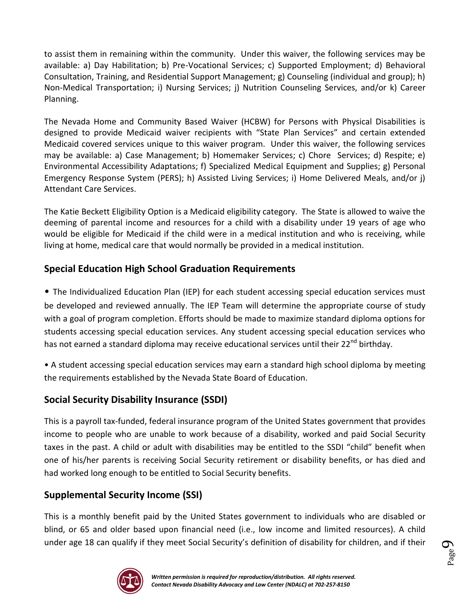to assist them in remaining within the community. Under this waiver, the following services may be available: a) Day Habilitation; b) Pre-Vocational Services; c) Supported Employment; d) Behavioral Consultation, Training, and Residential Support Management; g) Counseling (individual and group); h) Non-Medical Transportation; i) Nursing Services; j) Nutrition Counseling Services, and/or k) Career Planning.

The Nevada Home and Community Based Waiver (HCBW) for Persons with Physical Disabilities is designed to provide Medicaid waiver recipients with "State Plan Services" and certain extended Medicaid covered services unique to this waiver program. Under this waiver, the following services may be available: a) Case Management; b) Homemaker Services; c) Chore Services; d) Respite; e) Environmental Accessibility Adaptations; f) Specialized Medical Equipment and Supplies; g) Personal Emergency Response System (PERS); h) Assisted Living Services; i) Home Delivered Meals, and/or j) Attendant Care Services.

The Katie Beckett Eligibility Option is a Medicaid eligibility category. The State is allowed to waive the deeming of parental income and resources for a child with a disability under 19 years of age who would be eligible for Medicaid if the child were in a medical institution and who is receiving, while living at home, medical care that would normally be provided in a medical institution.

## **Special Education High School Graduation Requirements**

• The Individualized Education Plan (IEP) for each student accessing special education services must be developed and reviewed annually. The IEP Team will determine the appropriate course of study with a goal of program completion. Efforts should be made to maximize standard diploma options for students accessing special education services. Any student accessing special education services who has not earned a standard diploma may receive educational services until their 22<sup>nd</sup> birthday.

• A student accessing special education services may earn a standard high school diploma by meeting the requirements established by the Nevada State Board of Education.

## **Social Security Disability Insurance (SSDI)**

This is a payroll tax-funded, federal insurance program of the United States government that provides income to people who are unable to work because of a disability, worked and paid Social Security taxes in the past. A child or adult with disabilities may be entitled to the SSDI "child" benefit when one of his/her parents is receiving Social Security retirement or disability benefits, or has died and had worked long enough to be entitled to Social Security benefits.

## **Supplemental Security Income (SSI)**

This is a monthly benefit paid by the United States government to individuals who are disabled or blind, or 65 and older based upon financial need (i.e., low income and limited resources). A child under age 18 can qualify if they meet Social Security's definition of disability for children, and if their



Page  $\sigma$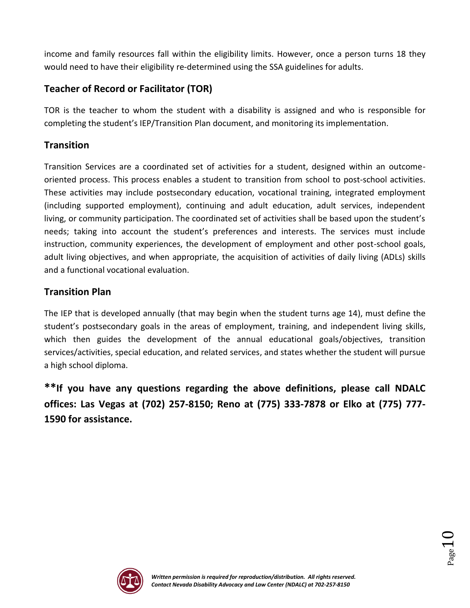income and family resources fall within the eligibility limits. However, once a person turns 18 they would need to have their eligibility re-determined using the SSA guidelines for adults.

## **Teacher of Record or Facilitator (TOR)**

TOR is the teacher to whom the student with a disability is assigned and who is responsible for completing the student's IEP/Transition Plan document, and monitoring its implementation.

## **Transition**

Transition Services are a coordinated set of activities for a student, designed within an outcomeoriented process. This process enables a student to transition from school to post-school activities. These activities may include postsecondary education, vocational training, integrated employment (including supported employment), continuing and adult education, adult services, independent living, or community participation. The coordinated set of activities shall be based upon the student's needs; taking into account the student's preferences and interests. The services must include instruction, community experiences, the development of employment and other post-school goals, adult living objectives, and when appropriate, the acquisition of activities of daily living (ADLs) skills and a functional vocational evaluation.

## **Transition Plan**

The IEP that is developed annually (that may begin when the student turns age 14), must define the student's postsecondary goals in the areas of employment, training, and independent living skills, which then guides the development of the annual educational goals/objectives, transition services/activities, special education, and related services, and states whether the student will pursue a high school diploma.

**\*\*If you have any questions regarding the above definitions, please call NDALC offices: Las Vegas at (702) 257-8150; Reno at (775) 333-7878 or Elko at (775) 777- 1590 for assistance.**



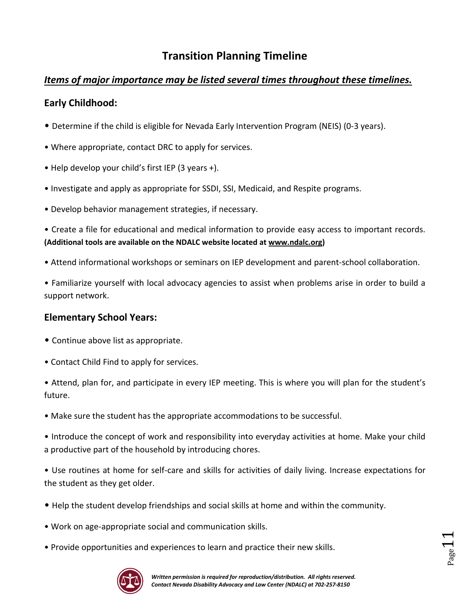# **Transition Planning Timeline**

## *Items of major importance may be listed several times throughout these timelines.*

## **Early Childhood:**

- Determine if the child is eligible for Nevada Early Intervention Program (NEIS) (0-3 years).
- Where appropriate, contact DRC to apply for services.
- Help develop your child's first IEP (3 years +).
- Investigate and apply as appropriate for SSDI, SSI, Medicaid, and Respite programs.
- Develop behavior management strategies, if necessary.

• Create a file for educational and medical information to provide easy access to important records. **(Additional tools are available on the NDALC website located at [www.ndalc.org\)](http://www.ndalc.org/)**

• Attend informational workshops or seminars on IEP development and parent-school collaboration.

• Familiarize yourself with local advocacy agencies to assist when problems arise in order to build a support network.

## **Elementary School Years:**

- Continue above list as appropriate.
- Contact Child Find to apply for services.

• Attend, plan for, and participate in every IEP meeting. This is where you will plan for the student's future.

• Make sure the student has the appropriate accommodations to be successful.

• Introduce the concept of work and responsibility into everyday activities at home. Make your child a productive part of the household by introducing chores.

• Use routines at home for self-care and skills for activities of daily living. Increase expectations for the student as they get older.

- Help the student develop friendships and social skills at home and within the community.
- Work on age-appropriate social and communication skills.
- Provide opportunities and experiences to learn and practice their new skills.



 $_{\rm Page}11$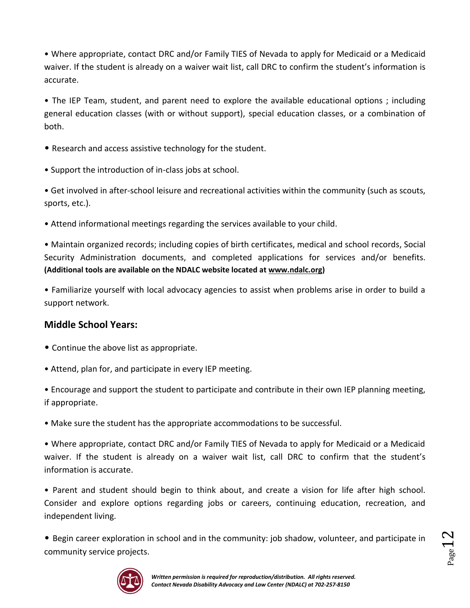• Where appropriate, contact DRC and/or Family TIES of Nevada to apply for Medicaid or a Medicaid waiver. If the student is already on a waiver wait list, call DRC to confirm the student's information is accurate.

• The IEP Team, student, and parent need to explore the available educational options ; including general education classes (with or without support), special education classes, or a combination of both.

• Research and access assistive technology for the student.

• Support the introduction of in-class jobs at school.

• Get involved in after-school leisure and recreational activities within the community (such as scouts, sports, etc.).

• Attend informational meetings regarding the services available to your child.

• Maintain organized records; including copies of birth certificates, medical and school records, Social Security Administration documents, and completed applications for services and/or benefits. **(Additional tools are available on the NDALC website located at [www.ndalc.org\)](http://www.ndalc.org/)**

• Familiarize yourself with local advocacy agencies to assist when problems arise in order to build a support network.

## **Middle School Years:**

- Continue the above list as appropriate.
- Attend, plan for, and participate in every IEP meeting.

• Encourage and support the student to participate and contribute in their own IEP planning meeting, if appropriate.

• Make sure the student has the appropriate accommodations to be successful.

• Where appropriate, contact DRC and/or Family TIES of Nevada to apply for Medicaid or a Medicaid waiver. If the student is already on a waiver wait list, call DRC to confirm that the student's information is accurate.

• Parent and student should begin to think about, and create a vision for life after high school. Consider and explore options regarding jobs or careers, continuing education, recreation, and independent living.

• Begin career exploration in school and in the community: job shadow, volunteer, and participate in community service projects.



 $P_{\rm age}$  1  $2$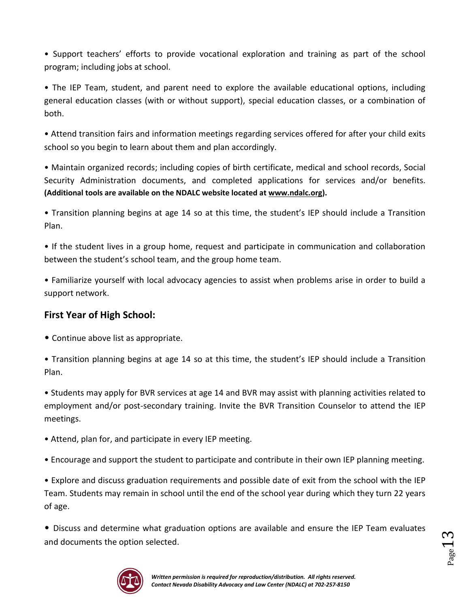• Support teachers' efforts to provide vocational exploration and training as part of the school program; including jobs at school.

• The IEP Team, student, and parent need to explore the available educational options, including general education classes (with or without support), special education classes, or a combination of both.

• Attend transition fairs and information meetings regarding services offered for after your child exits school so you begin to learn about them and plan accordingly.

• Maintain organized records; including copies of birth certificate, medical and school records, Social Security Administration documents, and completed applications for services and/or benefits. **(Additional tools are available on the NDALC website located at [www.ndalc.org\)](http://www.ndalc.org/).**

• Transition planning begins at age 14 so at this time, the student's IEP should include a Transition Plan.

• If the student lives in a group home, request and participate in communication and collaboration between the student's school team, and the group home team.

• Familiarize yourself with local advocacy agencies to assist when problems arise in order to build a support network.

## **First Year of High School:**

• Continue above list as appropriate.

• Transition planning begins at age 14 so at this time, the student's IEP should include a Transition Plan.

• Students may apply for BVR services at age 14 and BVR may assist with planning activities related to employment and/or post-secondary training. Invite the BVR Transition Counselor to attend the IEP meetings.

• Attend, plan for, and participate in every IEP meeting.

• Encourage and support the student to participate and contribute in their own IEP planning meeting.

• Explore and discuss graduation requirements and possible date of exit from the school with the IEP Team. Students may remain in school until the end of the school year during which they turn 22 years of age.

• Discuss and determine what graduation options are available and ensure the IEP Team evaluates and documents the option selected.



 $_{\rm Page}$ 13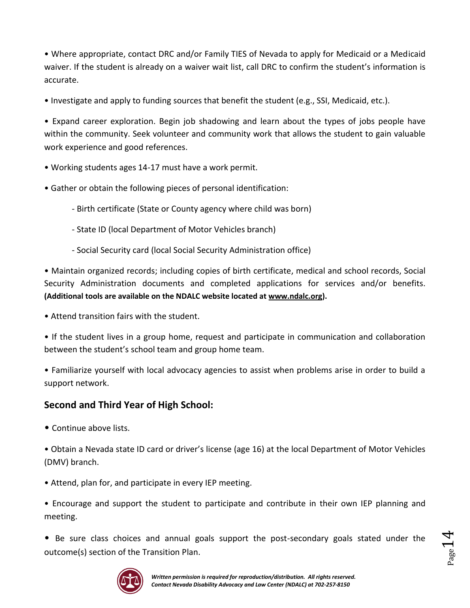• Where appropriate, contact DRC and/or Family TIES of Nevada to apply for Medicaid or a Medicaid waiver. If the student is already on a waiver wait list, call DRC to confirm the student's information is accurate.

• Investigate and apply to funding sources that benefit the student (e.g., SSI, Medicaid, etc.).

• Expand career exploration. Begin job shadowing and learn about the types of jobs people have within the community. Seek volunteer and community work that allows the student to gain valuable work experience and good references.

- Working students ages 14-17 must have a work permit.
- Gather or obtain the following pieces of personal identification:
	- Birth certificate (State or County agency where child was born)
	- State ID (local Department of Motor Vehicles branch)
	- Social Security card (local Social Security Administration office)

• Maintain organized records; including copies of birth certificate, medical and school records, Social Security Administration documents and completed applications for services and/or benefits. **(Additional tools are available on the NDALC website located at [www.ndalc.org\)](http://www.ndalc.org/).**

• Attend transition fairs with the student.

• If the student lives in a group home, request and participate in communication and collaboration between the student's school team and group home team.

• Familiarize yourself with local advocacy agencies to assist when problems arise in order to build a support network.

## **Second and Third Year of High School:**

• Continue above lists.

• Obtain a Nevada state ID card or driver's license (age 16) at the local Department of Motor Vehicles (DMV) branch.

• Attend, plan for, and participate in every IEP meeting.

• Encourage and support the student to participate and contribute in their own IEP planning and meeting.

• Be sure class choices and annual goals support the post-secondary goals stated under the outcome(s) section of the Transition Plan.



 $_{\rm Page}$ 14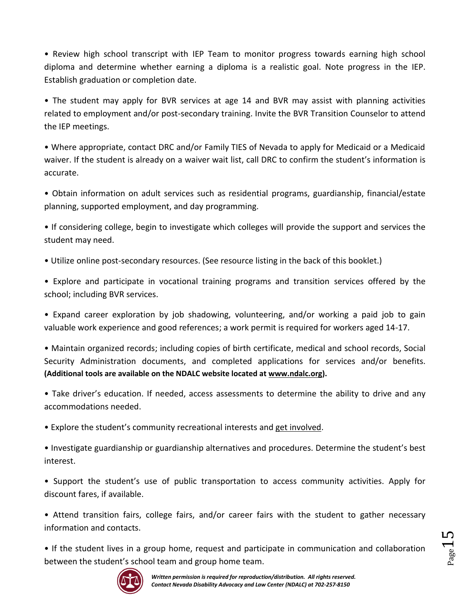• Review high school transcript with IEP Team to monitor progress towards earning high school diploma and determine whether earning a diploma is a realistic goal. Note progress in the IEP. Establish graduation or completion date.

• The student may apply for BVR services at age 14 and BVR may assist with planning activities related to employment and/or post-secondary training. Invite the BVR Transition Counselor to attend the IEP meetings.

• Where appropriate, contact DRC and/or Family TIES of Nevada to apply for Medicaid or a Medicaid waiver. If the student is already on a waiver wait list, call DRC to confirm the student's information is accurate.

• Obtain information on adult services such as residential programs, guardianship, financial/estate planning, supported employment, and day programming.

• If considering college, begin to investigate which colleges will provide the support and services the student may need.

• Utilize online post-secondary resources. (See resource listing in the back of this booklet.)

• Explore and participate in vocational training programs and transition services offered by the school; including BVR services.

• Expand career exploration by job shadowing, volunteering, and/or working a paid job to gain valuable work experience and good references; a work permit is required for workers aged 14-17.

• Maintain organized records; including copies of birth certificate, medical and school records, Social Security Administration documents, and completed applications for services and/or benefits. **(Additional tools are available on the NDALC website located at [www.ndalc.org\)](http://www.ndalc.org/).**

• Take driver's education. If needed, access assessments to determine the ability to drive and any accommodations needed.

• Explore the student's community recreational interests and get involved.

• Investigate guardianship or guardianship alternatives and procedures. Determine the student's best interest.

• Support the student's use of public transportation to access community activities. Apply for discount fares, if available.

• Attend transition fairs, college fairs, and/or career fairs with the student to gather necessary information and contacts.

• If the student lives in a group home, request and participate in communication and collaboration between the student's school team and group home team.



 $Page15$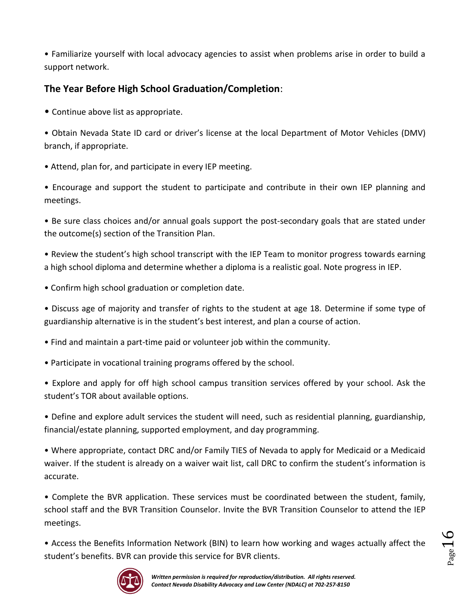• Familiarize yourself with local advocacy agencies to assist when problems arise in order to build a support network.

## **The Year Before High School Graduation/Completion**:

• Continue above list as appropriate.

• Obtain Nevada State ID card or driver's license at the local Department of Motor Vehicles (DMV) branch, if appropriate.

• Attend, plan for, and participate in every IEP meeting.

• Encourage and support the student to participate and contribute in their own IEP planning and meetings.

• Be sure class choices and/or annual goals support the post-secondary goals that are stated under the outcome(s) section of the Transition Plan.

• Review the student's high school transcript with the IEP Team to monitor progress towards earning a high school diploma and determine whether a diploma is a realistic goal. Note progress in IEP.

• Confirm high school graduation or completion date.

• Discuss age of majority and transfer of rights to the student at age 18. Determine if some type of guardianship alternative is in the student's best interest, and plan a course of action.

- Find and maintain a part-time paid or volunteer job within the community.
- Participate in vocational training programs offered by the school.

• Explore and apply for off high school campus transition services offered by your school. Ask the student's TOR about available options.

• Define and explore adult services the student will need, such as residential planning, guardianship, financial/estate planning, supported employment, and day programming.

• Where appropriate, contact DRC and/or Family TIES of Nevada to apply for Medicaid or a Medicaid waiver. If the student is already on a waiver wait list, call DRC to confirm the student's information is accurate.

• Complete the BVR application. These services must be coordinated between the student, family, school staff and the BVR Transition Counselor. Invite the BVR Transition Counselor to attend the IEP meetings.

• Access the Benefits Information Network (BIN) to learn how working and wages actually affect the student's benefits. BVR can provide this service for BVR clients.



Page 16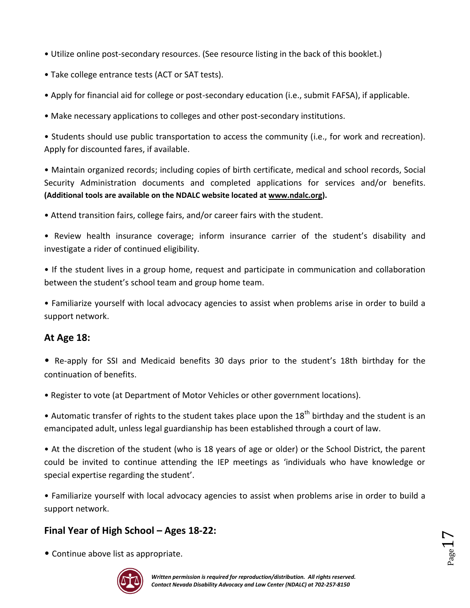- Utilize online post-secondary resources. (See resource listing in the back of this booklet.)
- Take college entrance tests (ACT or SAT tests).
- Apply for financial aid for college or post-secondary education (i.e., submit FAFSA), if applicable.
- Make necessary applications to colleges and other post-secondary institutions.

• Students should use public transportation to access the community (i.e., for work and recreation). Apply for discounted fares, if available.

• Maintain organized records; including copies of birth certificate, medical and school records, Social Security Administration documents and completed applications for services and/or benefits. **(Additional tools are available on the NDALC website located at [www.ndalc.org\)](http://www.ndalc.org/).**

- Attend transition fairs, college fairs, and/or career fairs with the student.
- Review health insurance coverage; inform insurance carrier of the student's disability and investigate a rider of continued eligibility.

• If the student lives in a group home, request and participate in communication and collaboration between the student's school team and group home team.

• Familiarize yourself with local advocacy agencies to assist when problems arise in order to build a support network.

## **At Age 18:**

- Re-apply for SSI and Medicaid benefits 30 days prior to the student's 18th birthday for the continuation of benefits.
- Register to vote (at Department of Motor Vehicles or other government locations).

• Automatic transfer of rights to the student takes place upon the  $18<sup>th</sup>$  birthday and the student is an emancipated adult, unless legal guardianship has been established through a court of law.

• At the discretion of the student (who is 18 years of age or older) or the School District, the parent could be invited to continue attending the IEP meetings as 'individuals who have knowledge or special expertise regarding the student'.

• Familiarize yourself with local advocacy agencies to assist when problems arise in order to build a support network.

## **Final Year of High School – Ages 18-22:**

• Continue above list as appropriate.



 $_{\rm Page}17$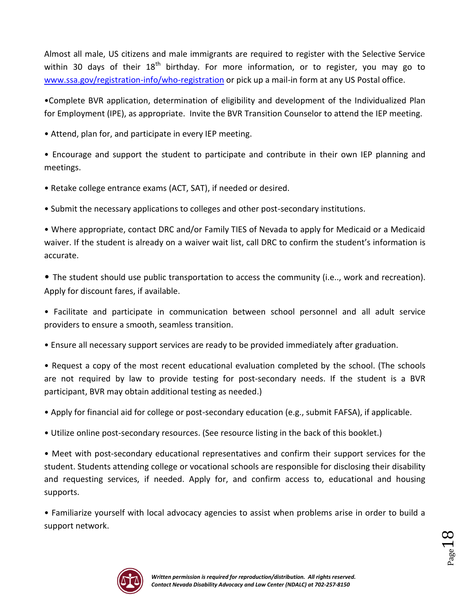Almost all male, US citizens and male immigrants are required to register with the Selective Service within 30 days of their  $18<sup>th</sup>$  birthday. For more information, or to register, you may go to [www.ssa.gov/registration-info/who-registration](http://www.ssa.gov/registration-info/who-registration) or pick up a mail-in form at any US Postal office.

•Complete BVR application, determination of eligibility and development of the Individualized Plan for Employment (IPE), as appropriate. Invite the BVR Transition Counselor to attend the IEP meeting.

• Attend, plan for, and participate in every IEP meeting.

• Encourage and support the student to participate and contribute in their own IEP planning and meetings.

• Retake college entrance exams (ACT, SAT), if needed or desired.

• Submit the necessary applications to colleges and other post-secondary institutions.

• Where appropriate, contact DRC and/or Family TIES of Nevada to apply for Medicaid or a Medicaid waiver. If the student is already on a waiver wait list, call DRC to confirm the student's information is accurate.

• The student should use public transportation to access the community (i.e.., work and recreation). Apply for discount fares, if available.

• Facilitate and participate in communication between school personnel and all adult service providers to ensure a smooth, seamless transition.

• Ensure all necessary support services are ready to be provided immediately after graduation.

• Request a copy of the most recent educational evaluation completed by the school. (The schools are not required by law to provide testing for post-secondary needs. If the student is a BVR participant, BVR may obtain additional testing as needed.)

• Apply for financial aid for college or post-secondary education (e.g., submit FAFSA), if applicable.

• Utilize online post-secondary resources. (See resource listing in the back of this booklet.)

• Meet with post-secondary educational representatives and confirm their support services for the student. Students attending college or vocational schools are responsible for disclosing their disability and requesting services, if needed. Apply for, and confirm access to, educational and housing supports.

• Familiarize yourself with local advocacy agencies to assist when problems arise in order to build a support network.



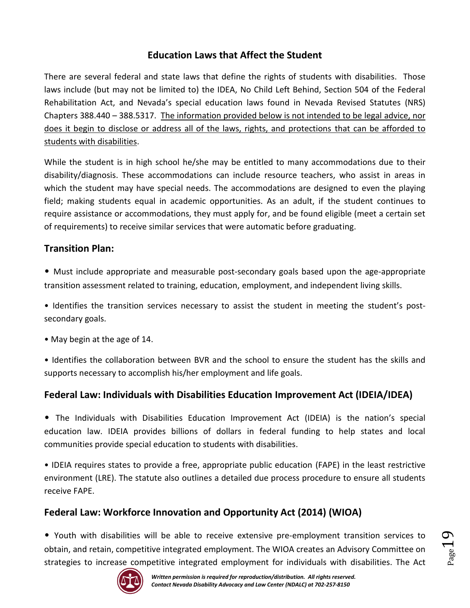## **Education Laws that Affect the Student**

There are several federal and state laws that define the rights of students with disabilities. Those laws include (but may not be limited to) the IDEA, No Child Left Behind, Section 504 of the Federal Rehabilitation Act, and Nevada's special education laws found in Nevada Revised Statutes (NRS) Chapters 388.440 – 388.5317. The information provided below is not intended to be legal advice, nor does it begin to disclose or address all of the laws, rights, and protections that can be afforded to students with disabilities.

While the student is in high school he/she may be entitled to many accommodations due to their disability/diagnosis. These accommodations can include resource teachers, who assist in areas in which the student may have special needs. The accommodations are designed to even the playing field; making students equal in academic opportunities. As an adult, if the student continues to require assistance or accommodations, they must apply for, and be found eligible (meet a certain set of requirements) to receive similar services that were automatic before graduating.

## **Transition Plan:**

- Must include appropriate and measurable post-secondary goals based upon the age-appropriate transition assessment related to training, education, employment, and independent living skills.
- Identifies the transition services necessary to assist the student in meeting the student's postsecondary goals.
- May begin at the age of 14.
- Identifies the collaboration between BVR and the school to ensure the student has the skills and supports necessary to accomplish his/her employment and life goals.

## **Federal Law: Individuals with Disabilities Education Improvement Act (IDEIA/IDEA)**

• The Individuals with Disabilities Education Improvement Act (IDEIA) is the nation's special education law. IDEIA provides billions of dollars in federal funding to help states and local communities provide special education to students with disabilities.

• IDEIA requires states to provide a free, appropriate public education (FAPE) in the least restrictive environment (LRE). The statute also outlines a detailed due process procedure to ensure all students receive FAPE.

## **Federal Law: Workforce Innovation and Opportunity Act (2014) (WIOA)**

• Youth with disabilities will be able to receive extensive pre-employment transition services to obtain, and retain, competitive integrated employment. The WIOA creates an Advisory Committee on strategies to increase competitive integrated employment for individuals with disabilities. The Act



Page 19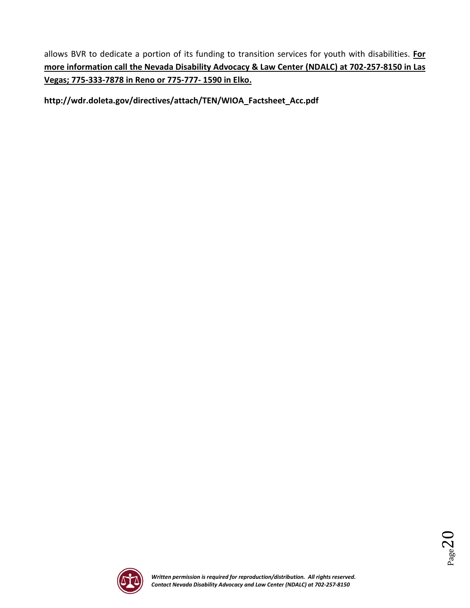allows BVR to dedicate a portion of its funding to transition services for youth with disabilities. **For more information call the Nevada Disability Advocacy & Law Center (NDALC) at 702-257-8150 in Las Vegas; 775-333-7878 in Reno or 775-777- 1590 in Elko.**

**http://wdr.doleta.gov/directives/attach/TEN/WIOA\_Factsheet\_Acc.pdf**



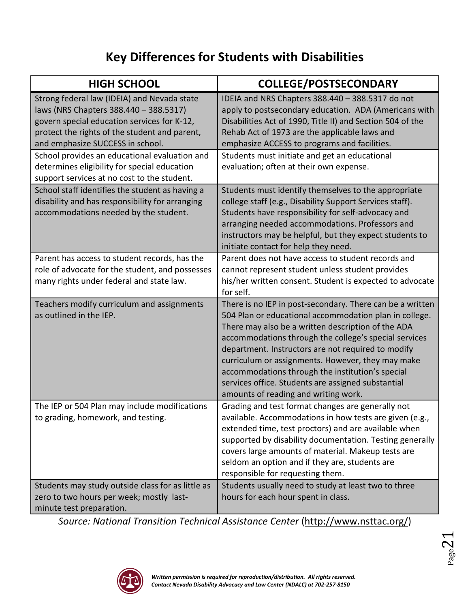# **Key Differences for Students with Disabilities**

| <b>HIGH SCHOOL</b>                                                                                                                                                                                                        | <b>COLLEGE/POSTSECONDARY</b>                                                                                                                                                                                                                                                                                                                                                                                                                                                                    |
|---------------------------------------------------------------------------------------------------------------------------------------------------------------------------------------------------------------------------|-------------------------------------------------------------------------------------------------------------------------------------------------------------------------------------------------------------------------------------------------------------------------------------------------------------------------------------------------------------------------------------------------------------------------------------------------------------------------------------------------|
| Strong federal law (IDEIA) and Nevada state<br>laws (NRS Chapters 388.440 - 388.5317)<br>govern special education services for K-12,<br>protect the rights of the student and parent,<br>and emphasize SUCCESS in school. | IDEIA and NRS Chapters 388.440 - 388.5317 do not<br>apply to postsecondary education. ADA (Americans with<br>Disabilities Act of 1990, Title II) and Section 504 of the<br>Rehab Act of 1973 are the applicable laws and<br>emphasize ACCESS to programs and facilities.                                                                                                                                                                                                                        |
| School provides an educational evaluation and<br>determines eligibility for special education<br>support services at no cost to the student.                                                                              | Students must initiate and get an educational<br>evaluation; often at their own expense.                                                                                                                                                                                                                                                                                                                                                                                                        |
| School staff identifies the student as having a<br>disability and has responsibility for arranging<br>accommodations needed by the student.                                                                               | Students must identify themselves to the appropriate<br>college staff (e.g., Disability Support Services staff).<br>Students have responsibility for self-advocacy and<br>arranging needed accommodations. Professors and<br>instructors may be helpful, but they expect students to<br>initiate contact for help they need.                                                                                                                                                                    |
| Parent has access to student records, has the<br>role of advocate for the student, and possesses<br>many rights under federal and state law.                                                                              | Parent does not have access to student records and<br>cannot represent student unless student provides<br>his/her written consent. Student is expected to advocate<br>for self.                                                                                                                                                                                                                                                                                                                 |
| Teachers modify curriculum and assignments<br>as outlined in the IEP.                                                                                                                                                     | There is no IEP in post-secondary. There can be a written<br>504 Plan or educational accommodation plan in college.<br>There may also be a written description of the ADA<br>accommodations through the college's special services<br>department. Instructors are not required to modify<br>curriculum or assignments. However, they may make<br>accommodations through the institution's special<br>services office. Students are assigned substantial<br>amounts of reading and writing work. |
| The IEP or 504 Plan may include modifications<br>to grading, homework, and testing.                                                                                                                                       | Grading and test format changes are generally not<br>available. Accommodations in how tests are given (e.g.,<br>extended time, test proctors) and are available when<br>supported by disability documentation. Testing generally<br>covers large amounts of material. Makeup tests are<br>seldom an option and if they are, students are<br>responsible for requesting them.                                                                                                                    |
| Students may study outside class for as little as<br>zero to two hours per week; mostly last-<br>minute test preparation.                                                                                                 | Students usually need to study at least two to three<br>hours for each hour spent in class.                                                                                                                                                                                                                                                                                                                                                                                                     |

*Source: National Transition Technical Assistance Center* [\(http://www.nsttac.org/\)](http://www.nsttac.org/)



 $Page21$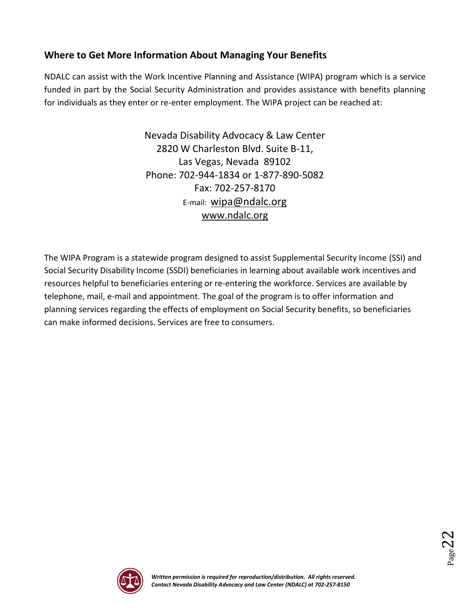## **Where to Get More Information About Managing Your Benefits**

NDALC can assist with the Work Incentive Planning and Assistance (WIPA) program which is a service funded in part by the Social Security Administration and provides assistance with benefits planning for individuals as they enter or re-enter employment. The WIPA project can be reached at:

> Nevada Disability Advocacy & Law Center 2820 W Charleston Blvd. Suite B-11, Las Vegas, Nevada 89102 Phone: 702-944-1834 or 1-877-890-5082 Fax: 702-257-8170 E-mail: [wipa@ndalc.org](mailto:wipa@ndalc.org) [www.ndalc.org](http://www.ndalc.org/)

The WIPA Program is a statewide program designed to assist Supplemental Security Income (SSI) and Social Security Disability Income (SSDI) beneficiaries in learning about available work incentives and resources helpful to beneficiaries entering or re-entering the workforce. Services are available by telephone, mail, e-mail and appointment. The goal of the program is to offer information and planning services regarding the effects of employment on Social Security benefits, so beneficiaries can make informed decisions. Services are free to consumers.



 $_{\rm Page}$ 22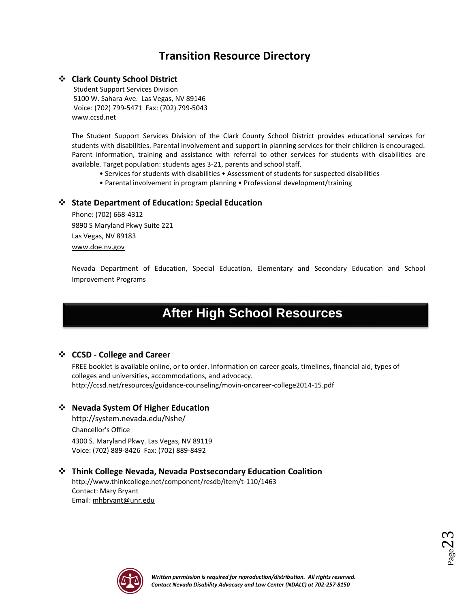## **Transition Resource Directory**

#### **Clark County School District**

Student Support Services Division 5100 W. Sahara Ave. Las Vegas, NV 89146 Voice: (702) 799-5471 Fax: (702) 799-5043 [www.ccsd.net](http://www.ccsd.net/)

The Student Support Services Division of the Clark County School District provides educational services for students with disabilities. Parental involvement and support in planning services for their children is encouraged. Parent information, training and assistance with referral to other services for students with disabilities are available. Target population: students ages 3-21, parents and school staff.

- Services for students with disabilities Assessment of students for suspected disabilities
- Parental involvement in program planning Professional development/training

#### **State Department of Education: Special Education**

Phone: (702) 668-4312 9890 S Maryland Pkwy Suite 221 Las Vegas, NV 89183 [www.doe.nv.gov](http://www.doe.nv.gov/)

Nevada Department of Education, Special Education, Elementary and Secondary Education and School Improvement Programs

# **After High School Resources**

#### **CCSD - College and Career**

FREE booklet is available online, or to order. Information on career goals, timelines, financial aid, types of colleges and universities, accommodations, and advocacy. <http://ccsd.net/resources/guidance-counseling/movin-oncareer-college2014-15.pdf>

#### **Nevada System Of Higher Education**

<http://system.nevada.edu/Nshe/> Chancellor's Office 4300 S. Maryland Pkwy. Las Vegas, NV 89119 Voice: (702) 889-8426 Fax: (702) 889-8492

#### **Think College Nevada, Nevada Postsecondary Education Coalition**

<http://www.thinkcollege.net/component/resdb/item/t-110/1463> Contact: Mary Bryant Email: [mhbryant@unr.edu](mailto:mhbryant@unr.edu)



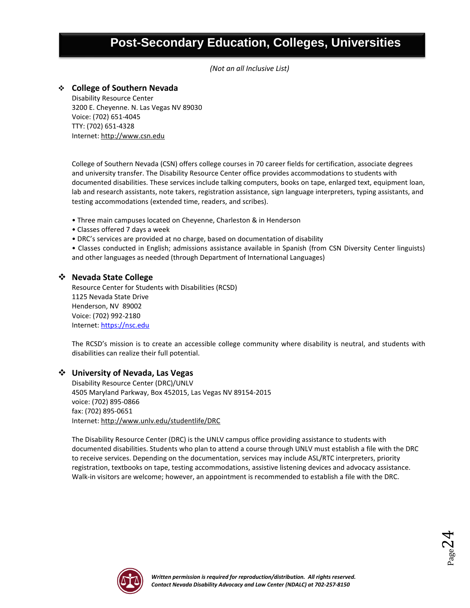# **Post-Secondary Education, Colleges, Universities**

*(Not an all Inclusive List)*

#### **College of Southern Nevada**

Disability Resource Center 3200 E. Cheyenne. N. Las Vegas NV 89030 Voice: (702) 651-4045 TTY: (702) 651-4328 Internet[: http://www.csn.edu](http://www.ccsn.nevada.edu/)

College of Southern Nevada (CSN) offers college courses in 70 career fields for certification, associate degrees and university transfer. The Disability Resource Center office provides accommodations to students with documented disabilities. These services include talking computers, books on tape, enlarged text, equipment loan, lab and research assistants, note takers, registration assistance, sign language interpreters, typing assistants, and testing accommodations (extended time, readers, and scribes).

- Three main campuses located on Cheyenne, Charleston & in Henderson
- Classes offered 7 days a week
- DRC's services are provided at no charge, based on documentation of disability
- Classes conducted in English; admissions assistance available in Spanish (from CSN Diversity Center linguists) and other languages as needed (through Department of International Languages)

#### **Nevada State College**

Resource Center for Students with Disabilities (RCSD) 1125 Nevada State Drive Henderson, NV 89002 Voice: (702) 992-2180 Internet[: https://nsc.edu](https://nsc.edu/)

The RCSD's mission is to create an accessible college community where disability is neutral, and students with disabilities can realize their full potential.

#### **University of Nevada, Las Vegas**

Disability Resource Center (DRC)/UNLV 4505 Maryland Parkway, Box 452015, Las Vegas NV 89154-2015 voice: (702) 895-0866 fax: (702) 895-0651 Internet[: http://www.unlv.edu/studentlife/DRC](http://www.unlv.edu/studentlife/DRC)

The Disability Resource Center (DRC) is the UNLV campus office providing assistance to students with documented disabilities. Students who plan to attend a course through UNLV must establish a file with the DRC to receive services. Depending on the documentation, services may include ASL/RTC interpreters, priority registration, textbooks on tape, testing accommodations, assistive listening devices and advocacy assistance. Walk-in visitors are welcome; however, an appointment is recommended to establish a file with the DRC.



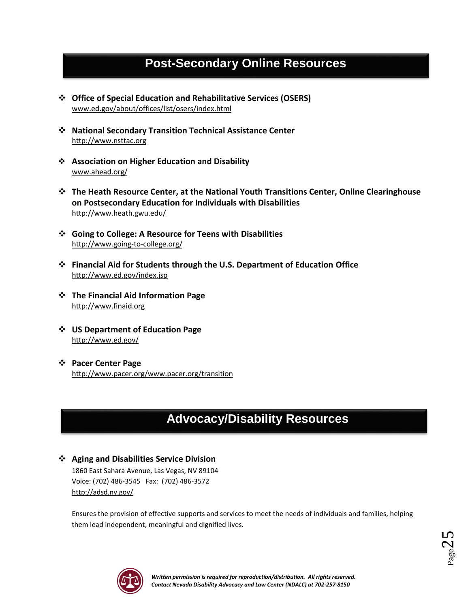# **Post-Secondary Online Resources**

- **Office of Special Education and Rehabilitative Services (OSERS)** [www.ed.gov/about/offices/list/osers/index.html](http://www.ed.gov/about/offices/list/osers/index.html)
- **National Secondary Transition Technical Assistance Center** [http://www.nsttac.org](http://www.nsttac.org/)
- **Association on Higher Education and Disability** [www.ahead.org/](http://www.ahead.org/)
- **The Heath Resource Center, at the National Youth Transitions Center, Online Clearinghouse on Postsecondary Education for Individuals with Disabilities** <http://www.heath.gwu.edu/>
- **Going to College: A Resource for Teens with Disabilities** <http://www.going-to-college.org/>
- **Financial Aid for Students through the U.S. Department of Education Office** <http://www.ed.gov/index.jsp>
- **The Financial Aid Information Page** [http://www.finaid.org](http://www.finaid.org/)
- **US Department of Education Page** <http://www.ed.gov/>
- **Pacer Center Page** [http://www.pacer.org/w](http://www.pacer.org/)ww.pacer.org/transition

# **Advocacy/Disability Resources**

#### **Aging and Disabilities Service Division**

1860 East Sahara Avenue, Las Vegas, NV 89104 Voice: (702) 486-3545 Fax: (702) 486-3572 <http://adsd.nv.gov/>

Ensures the provision of effective supports and services to meet the needs of individuals and families, helping them lead independent, meaningful and dignified lives.



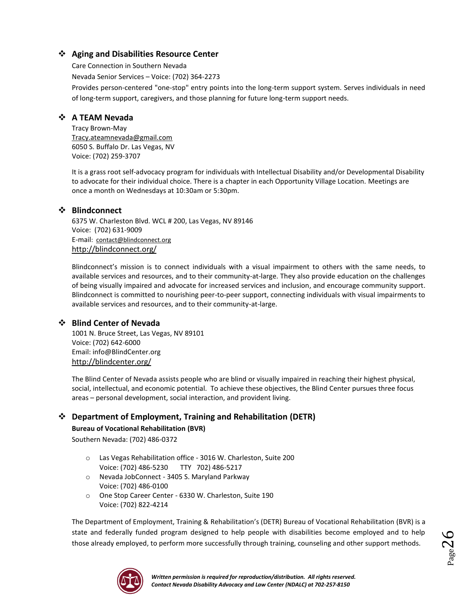#### **Aging and Disabilities Resource Center**

Care Connection in Southern Nevada Nevada Senior Services – Voice: (702) 364-2273 Provides person-centered "one-stop" entry points into the long-term support system. Serves individuals in need of long-term support, caregivers, and those planning for future long-term support needs.

#### **A TEAM Nevada**

Tracy Brown-May [Tracy.ateamnevada@gmail.com](mailto:Tracy.ateamnevada@gmail.com) 6050 S. Buffalo Dr. Las Vegas, NV Voice: (702) 259-3707

It is a grass root self-advocacy program for individuals with Intellectual Disability and/or Developmental Disability to advocate for their individual choice. There is a chapter in each Opportunity Village Location. Meetings are once a month on Wednesdays at 10:30am or 5:30pm.

#### **Blindconnect**

6375 W. Charleston Blvd. WCL # 200, Las Vegas, NV 89146 Voice: (702) 631-9009 E-mail: [contact@blindconnect.org](mailto:contact@blindconnect.org) <http://blindconnect.org/>

Blindconnect's mission is to connect individuals with a visual impairment to others with the same needs, to available services and resources, and to their community-at-large. They also provide education on the challenges of being visually impaired and advocate for increased services and inclusion, and encourage community support. Blindconnect is committed to nourishing peer-to-peer support, connecting individuals with visual impairments to available services and resources, and to their community-at-large.

#### **Blind Center of Nevada**

1001 N. Bruce Street, Las Vegas, NV 89101 Voice: (702) 642-6000 Email: info@BlindCenter.org <http://blindcenter.org/>

The Blind Center of Nevada assists people who are blind or visually impaired in reaching their highest physical, social, intellectual, and economic potential. To achieve these objectives, the Blind Center pursues three focus areas – personal development, social interaction, and provident living.

#### **Department of Employment, Training and Rehabilitation (DETR)**

**Bureau of Vocational Rehabilitation (BVR)**

Southern Nevada: (702) 486-0372

- o Las Vegas Rehabilitation office 3016 W. Charleston, Suite 200 Voice: (702) 486-5230 TTY 702) 486-5217
- o Nevada JobConnect 3405 S. Maryland Parkway Voice: (702) 486-0100
- o One Stop Career Center 6330 W. Charleston, Suite 190 Voice: (702) 822-4214

The Department of Employment, Training & Rehabilitation's (DETR) Bureau of Vocational Rehabilitation (BVR) is a state and federally funded program designed to help people with disabilities become employed and to help those already employed, to perform more successfully through training, counseling and other support methods.

 $P_{\text{age}}26$ 

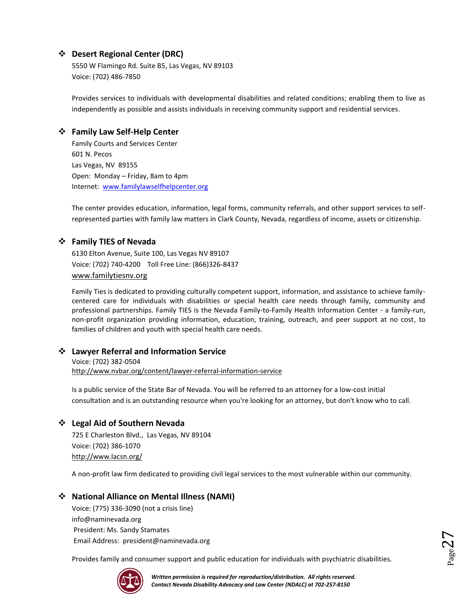#### **Desert Regional Center (DRC)**

5550 W Flamingo Rd. Suite B5, Las Vegas, NV 89103 Voice: (702) 486-7850

Provides services to individuals with developmental disabilities and related conditions; enabling them to live as independently as possible and assists individuals in receiving community support and residential services.

#### **Family Law Self-Help Center**

Family Courts and Services Center 601 N. Pecos Las Vegas, NV 89155 Open: Monday – Friday, 8am to 4pm Internet: [www.familylawselfhelpcenter.org](http://www.familylawselfhelpcenter.org/)

The center provides education, information, legal forms, community referrals, and other support services to selfrepresented parties with family law matters in Clark County, Nevada, regardless of income, assets or citizenship.

#### **Family TIES of Nevada**

6130 Elton Avenue, Suite 100, Las Vegas NV 89107 Voice: (702) 740-4200 Toll Free Line: (866)326-8437 [www.familytiesnv.org](http://www.familytiesnv.org/)

Family Ties is dedicated to providing culturally competent support, information, and assistance to achieve familycentered care for individuals with disabilities or special health care needs through family, community and professional partnerships. Family TIES is the Nevada Family-to-Family Health Information Center - a family-run, non-profit organization providing information, education, training, outreach, and peer support at no cost, to families of children and youth with special health care needs.

#### **Lawyer Referral and Information Service**

Voice: (702) 382-0504 <http://www.nvbar.org/content/lawyer-referral-information-service>

Is a public service of the State Bar of Nevada. You will be referred to an attorney for a low-cost initial consultation and is an outstanding resource when you're looking for an attorney, but don't know who to call.

#### **Legal Aid of Southern Nevada**

725 E Charleston Blvd., Las Vegas, NV 89104 Voice: (702) 386-1070 <http://www.lacsn.org/>

A non-profit law firm dedicated to providing civil legal services to the most vulnerable within our community.

#### **National Alliance on Mental Illness (NAMI)**

Voice: (775) 336-3090 (not a crisis line) info@naminevada.org President: Ms. Sandy Stamates Email Address: president@naminevada.org

Provides family and consumer support and public education for individuals with psychiatric disabilities.



 $P_{{\rm age}}$ 27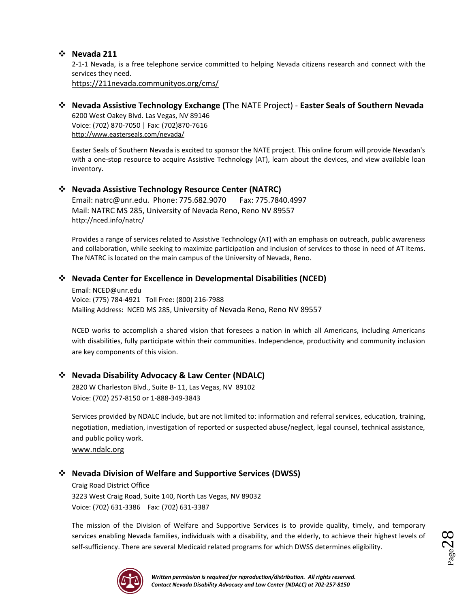#### **Nevada 211**

2-1-1 Nevada, is a free telephone service committed to helping Nevada citizens research and connect with the services they need.

<https://211nevada.communityos.org/cms/>

### **Nevada Assistive Technology Exchange (**The NATE Project) - **Easter Seals of Southern Nevada**

6200 West Oakey Blvd. Las Vegas, NV 89146 Voice: (702) 870-7050 | Fax: (702)870-7616 <http://www.easterseals.com/nevada/>

Easter Seals of Southern Nevada is excited to sponsor the NATE project. This online forum will provide Nevadan's with a one-stop resource to acquire Assistive Technology (AT), learn about the devices, and view available loan inventory.

#### **Nevada Assistive Technology Resource Center (NATRC)**

Email[: natrc@unr.edu.](mailto:natrc@unr.edu) Phone: 775.682.9070 Fax: 775.7840.4997 Mail: NATRC MS 285, University of Nevada Reno, Reno NV 89557 <http://nced.info/natrc/>

Provides a range of services related to Assistive Technology (AT) with an emphasis on outreach, public awareness and collaboration, while seeking to maximize participation and inclusion of services to those in need of AT items. The NATRC is located on the main campus of the University of Nevada, Reno.

#### **Nevada Center for Excellence in Developmental Disabilities (NCED)**

Email: NCED@unr.edu Voice: (775) 784-4921 Toll Free: (800) 216-7988 Mailing Address: NCED MS 285, University of Nevada Reno, Reno NV 89557

NCED works to accomplish a shared vision that foresees a nation in which all Americans, including Americans with disabilities, fully participate within their communities. Independence, productivity and community inclusion are key components of this vision.

#### **Nevada Disability Advocacy & Law Center (NDALC)**

2820 W Charleston Blvd., Suite B- 11, Las Vegas, NV 89102 Voice: (702) 257-8150 or 1-888-349-3843

Services provided by NDALC include, but are not limited to: information and referral services, education, training, negotiation, mediation, investigation of reported or suspected abuse/neglect, legal counsel, technical assistance, and public policy work.

[www.ndalc.org](http://www.ndalc.org/)

#### **Nevada Division of Welfare and Supportive Services (DWSS)**

Craig Road District Office 3223 West Craig Road, Suite 140, North Las Vegas, NV 89032 Voice: (702) 631-3386 Fax: (702) 631-3387

The mission of the Division of Welfare and Supportive Services is to provide quality, timely, and temporary services enabling Nevada families, individuals with a disability, and the elderly, to achieve their highest levels of self-sufficiency. There are several Medicaid related programs for which DWSS determines eligibility.



 $_{\rm Page}$ 28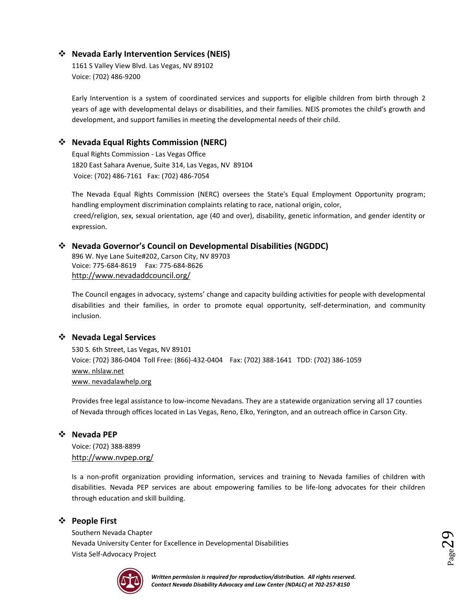#### **Nevada Early Intervention Services (NEIS)**

1161 S Valley View Blvd. Las Vegas, NV 89102 Voice: (702) 486-9200

Early Intervention is a system of coordinated services and supports for eligible children from birth through 2 years of age with developmental delays or disabilities, and their families. NEIS promotes the child's growth and development, and support families in meeting the developmental needs of their child.

#### **Nevada Equal Rights Commission (NERC)**

Equal Rights Commission - Las Vegas Office 1820 East Sahara Avenue, Suite 314, Las Vegas, NV 89104 Voice: (702) 486-7161 Fax: (702) 486-7054

The Nevada Equal Rights Commission (NERC) oversees the State's Equal Employment Opportunity program; handling employment discrimination complaints relating to race, national origin, color, creed/religion, sex, sexual orientation, age (40 and over), disability, genetic information, and gender identity or expression.

#### **Nevada Governor's Council on Developmental Disabilities (NGDDC)**

896 W. Nye Lane Suite#202, Carson City, NV 89703 Voice: 775-684-8619 Fax: 775-684-8626 <http://www.nevadaddcouncil.org/>

The Council engages in advocacy, systems' change and capacity building activities for people with developmental disabilities and their families, in order to promote equal opportunity, self-determination, and community inclusion.

#### **Nevada Legal Services**

530 S. 6th Street, Las Vegas, NV 89101 Voice: (702) 386-0404 Toll Free: (866)-432-0404 Fax: (702) 388-1641 TDD: (702) 386-1059 www. nlslaw.net www. nevadalawhelp.org

Provides free legal assistance to low-income Nevadans. They are a statewide organization serving all 17 counties of Nevada through offices located in Las Vegas, Reno, Elko, Yerington, and an outreach office in Carson City.

#### **Nevada PEP**

Voice: (702) 388-8899 <http://www.nvpep.org/>

Is a non-profit organization providing information, services and training to Nevada families of children with disabilities. Nevada PEP services are about empowering families to be life-long advocates for their children through education and skill building.

#### **People First**

Southern Nevada Chapter Nevada University Center for Excellence in Developmental Disabilities Vista Self-Advocacy Project



 $29$ age $29$